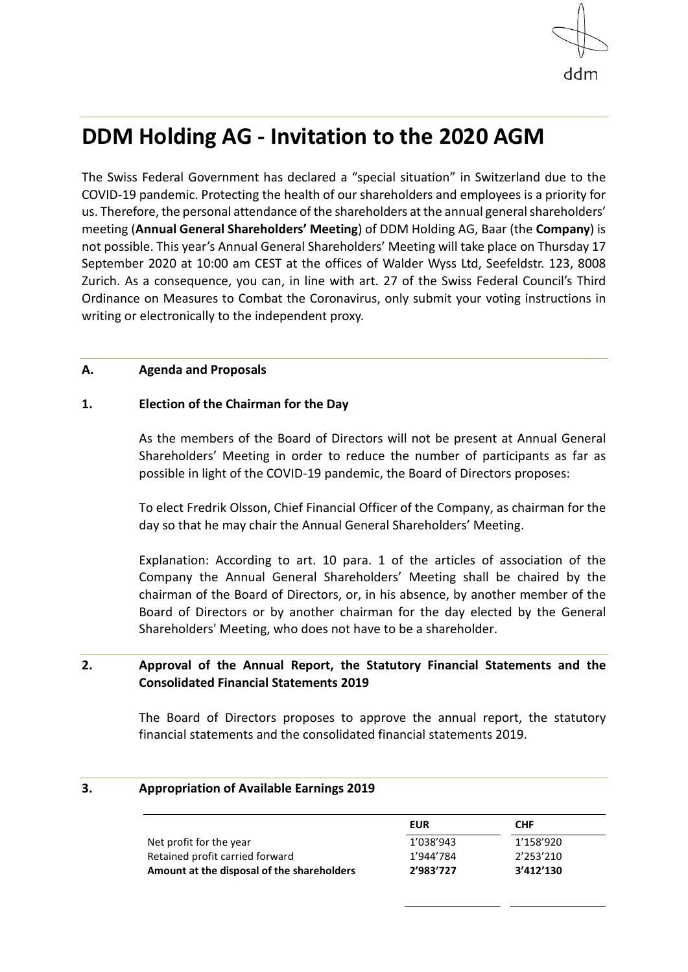

# **DDM Holding AG - Invitation to the 2020 AGM**

The Swiss Federal Government has declared a "special situation" in Switzerland due to the COVID-19 pandemic. Protecting the health of our shareholders and employees is a priority for us. Therefore, the personal attendance of the shareholders at the annual general shareholders' meeting (**Annual General Shareholders' Meeting**) of DDM Holding AG, Baar (the **Company**) is not possible. This year's Annual General Shareholders' Meeting will take place on Thursday 17 September 2020 at 10:00 am CEST at the offices of Walder Wyss Ltd, Seefeldstr. 123, 8008 Zurich. As a consequence, you can, in line with art. 27 of the Swiss Federal Council's Third Ordinance on Measures to Combat the Coronavirus, only submit your voting instructions in writing or electronically to the independent proxy.

### **A. Agenda and Proposals**

# **1. Election of the Chairman for the Day**

As the members of the Board of Directors will not be present at Annual General Shareholders' Meeting in order to reduce the number of participants as far as possible in light of the COVID-19 pandemic, the Board of Directors proposes:

To elect Fredrik Olsson, Chief Financial Officer of the Company, as chairman for the day so that he may chair the Annual General Shareholders' Meeting.

Explanation: According to art. 10 para. 1 of the articles of association of the Company the Annual General Shareholders' Meeting shall be chaired by the chairman of the Board of Directors, or, in his absence, by another member of the Board of Directors or by another chairman for the day elected by the General Shareholders' Meeting, who does not have to be a shareholder.

# **2. Approval of the Annual Report, the Statutory Financial Statements and the Consolidated Financial Statements 2019**

The Board of Directors proposes to approve the annual report, the statutory financial statements and the consolidated financial statements 2019.

### **3. Appropriation of Available Earnings 2019**

|                                            | <b>EUR</b> | <b>CHF</b> |
|--------------------------------------------|------------|------------|
| Net profit for the year                    | 1'038'943  | 1'158'920  |
| Retained profit carried forward            | 1'944'784  | 2'253'210  |
| Amount at the disposal of the shareholders | 2'983'727  | 3'412'130  |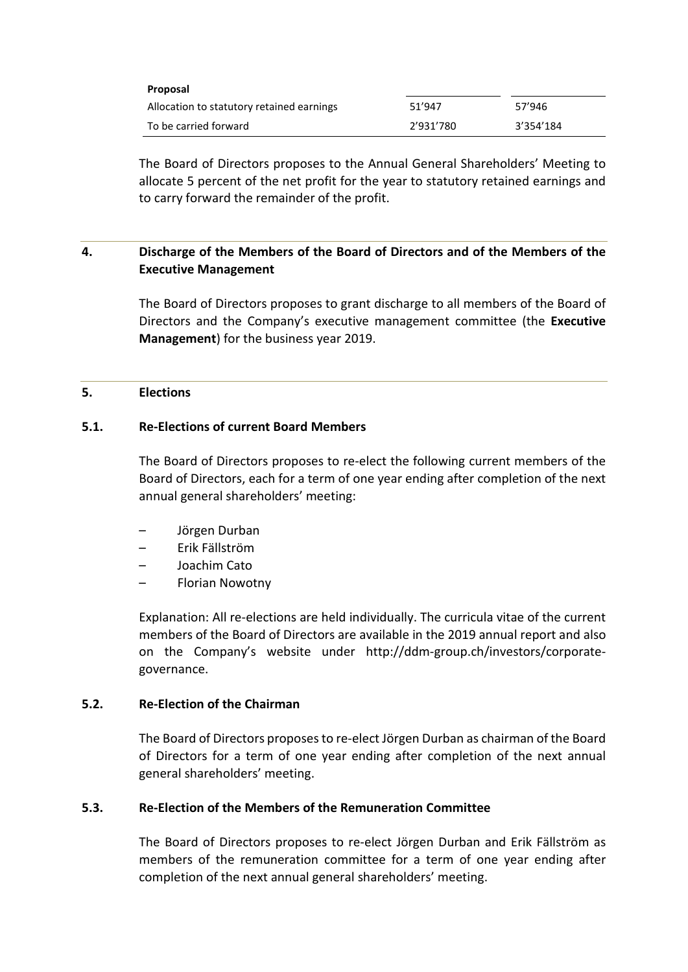| Proposal                                  |           |           |
|-------------------------------------------|-----------|-----------|
| Allocation to statutory retained earnings | 51'947    | 57'946    |
| To be carried forward                     | 2'931'780 | 3'354'184 |

The Board of Directors proposes to the Annual General Shareholders' Meeting to allocate 5 percent of the net profit for the year to statutory retained earnings and to carry forward the remainder of the profit.

# **4. Discharge of the Members of the Board of Directors and of the Members of the Executive Management**

The Board of Directors proposes to grant discharge to all members of the Board of Directors and the Company's executive management committee (the **Executive Management**) for the business year 2019.

### **5. Elections**

# **5.1. Re-Elections of current Board Members**

The Board of Directors proposes to re-elect the following current members of the Board of Directors, each for a term of one year ending after completion of the next annual general shareholders' meeting:

- Jörgen Durban
- Erik Fällström
- Joachim Cato
- Florian Nowotny

Explanation: All re-elections are held individually. The curricula vitae of the current members of the Board of Directors are available in the 2019 annual report and also on the Company's website under http://ddm-group.ch/investors/corporategovernance.

### **5.2. Re-Election of the Chairman**

The Board of Directors proposes to re-elect Jörgen Durban as chairman of the Board of Directors for a term of one year ending after completion of the next annual general shareholders' meeting.

### **5.3. Re-Election of the Members of the Remuneration Committee**

The Board of Directors proposes to re-elect Jörgen Durban and Erik Fällström as members of the remuneration committee for a term of one year ending after completion of the next annual general shareholders' meeting.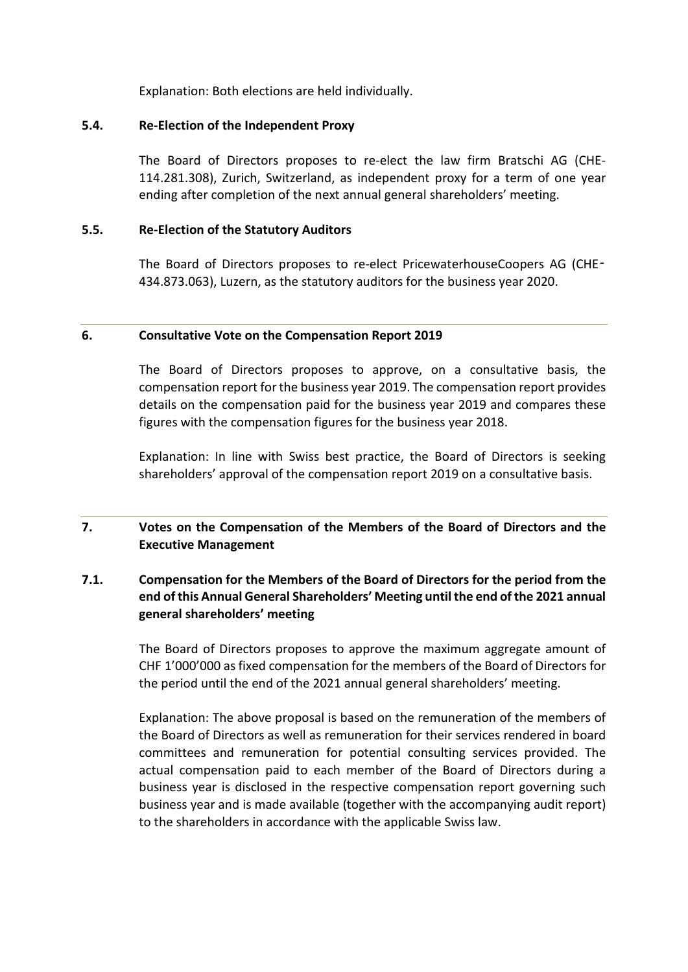Explanation: Both elections are held individually.

# **5.4. Re-Election of the Independent Proxy**

The Board of Directors proposes to re-elect the law firm Bratschi AG (CHE-114.281.308), Zurich, Switzerland, as independent proxy for a term of one year ending after completion of the next annual general shareholders' meeting.

# **5.5. Re-Election of the Statutory Auditors**

The Board of Directors proposes to re-elect PricewaterhouseCoopers AG (CHE‑ 434.873.063), Luzern, as the statutory auditors for the business year 2020.

### **6. Consultative Vote on the Compensation Report 2019**

The Board of Directors proposes to approve, on a consultative basis, the compensation report for the business year 2019. The compensation report provides details on the compensation paid for the business year 2019 and compares these figures with the compensation figures for the business year 2018.

Explanation: In line with Swiss best practice, the Board of Directors is seeking shareholders' approval of the compensation report 2019 on a consultative basis.

# **7. Votes on the Compensation of the Members of the Board of Directors and the Executive Management**

# **7.1. Compensation for the Members of the Board of Directors for the period from the end of this Annual General Shareholders' Meeting until the end of the 2021 annual general shareholders' meeting**

The Board of Directors proposes to approve the maximum aggregate amount of CHF 1'000'000 as fixed compensation for the members of the Board of Directors for the period until the end of the 2021 annual general shareholders' meeting.

Explanation: The above proposal is based on the remuneration of the members of the Board of Directors as well as remuneration for their services rendered in board committees and remuneration for potential consulting services provided. The actual compensation paid to each member of the Board of Directors during a business year is disclosed in the respective compensation report governing such business year and is made available (together with the accompanying audit report) to the shareholders in accordance with the applicable Swiss law.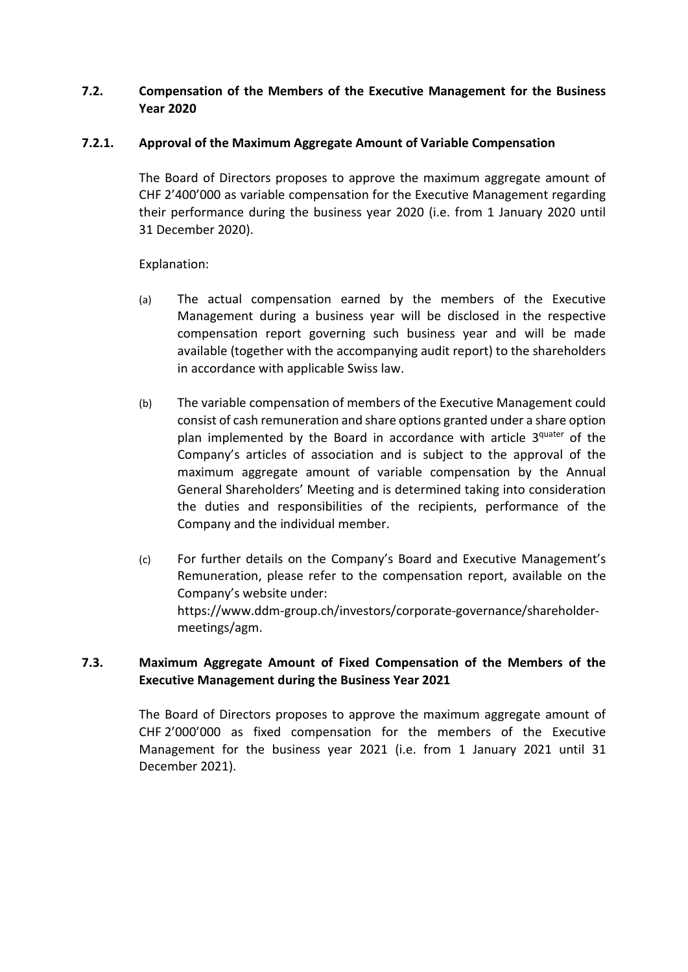# **7.2. Compensation of the Members of the Executive Management for the Business Year 2020**

# **7.2.1. Approval of the Maximum Aggregate Amount of Variable Compensation**

The Board of Directors proposes to approve the maximum aggregate amount of CHF 2'400'000 as variable compensation for the Executive Management regarding their performance during the business year 2020 (i.e. from 1 January 2020 until 31 December 2020).

# Explanation:

- (a) The actual compensation earned by the members of the Executive Management during a business year will be disclosed in the respective compensation report governing such business year and will be made available (together with the accompanying audit report) to the shareholders in accordance with applicable Swiss law.
- (b) The variable compensation of members of the Executive Management could consist of cash remuneration and share options granted under a share option plan implemented by the Board in accordance with article 3<sup>quater</sup> of the Company's articles of association and is subject to the approval of the maximum aggregate amount of variable compensation by the Annual General Shareholders' Meeting and is determined taking into consideration the duties and responsibilities of the recipients, performance of the Company and the individual member.
- (c) For further details on the Company's Board and Executive Management's Remuneration, please refer to the compensation report, available on the Company's website under: [https://www.ddm-group.ch/investors/corporate-governance/shareholder](https://www.ddm-group.ch/investors/corporate-governance/shareholder-meetings/agm)[meetings/agm.](https://www.ddm-group.ch/investors/corporate-governance/shareholder-meetings/agm)

# **7.3. Maximum Aggregate Amount of Fixed Compensation of the Members of the Executive Management during the Business Year 2021**

The Board of Directors proposes to approve the maximum aggregate amount of CHF 2'000'000 as fixed compensation for the members of the Executive Management for the business year 2021 (i.e. from 1 January 2021 until 31 December 2021).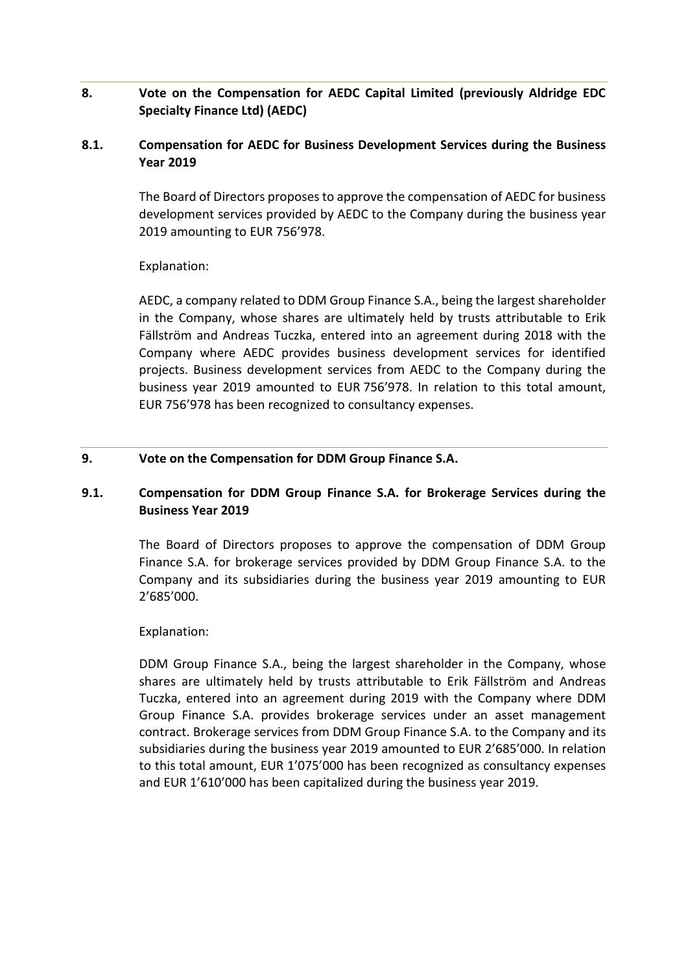# **8. Vote on the Compensation for AEDC Capital Limited (previously Aldridge EDC Specialty Finance Ltd) (AEDC)**

# **8.1. Compensation for AEDC for Business Development Services during the Business Year 2019**

The Board of Directors proposes to approve the compensation of AEDC for business development services provided by AEDC to the Company during the business year 2019 amounting to EUR 756'978.

# Explanation:

AEDC, a company related to DDM Group Finance S.A., being the largest shareholder in the Company, whose shares are ultimately held by trusts attributable to Erik Fällström and Andreas Tuczka, entered into an agreement during 2018 with the Company where AEDC provides business development services for identified projects. Business development services from AEDC to the Company during the business year 2019 amounted to EUR 756'978. In relation to this total amount, EUR 756'978 has been recognized to consultancy expenses.

# **9. Vote on the Compensation for DDM Group Finance S.A.**

# **9.1. Compensation for DDM Group Finance S.A. for Brokerage Services during the Business Year 2019**

The Board of Directors proposes to approve the compensation of DDM Group Finance S.A. for brokerage services provided by DDM Group Finance S.A. to the Company and its subsidiaries during the business year 2019 amounting to EUR 2'685'000.

### Explanation:

DDM Group Finance S.A., being the largest shareholder in the Company, whose shares are ultimately held by trusts attributable to Erik Fällström and Andreas Tuczka, entered into an agreement during 2019 with the Company where DDM Group Finance S.A. provides brokerage services under an asset management contract. Brokerage services from DDM Group Finance S.A. to the Company and its subsidiaries during the business year 2019 amounted to EUR 2'685'000. In relation to this total amount, EUR 1'075'000 has been recognized as consultancy expenses and EUR 1'610'000 has been capitalized during the business year 2019.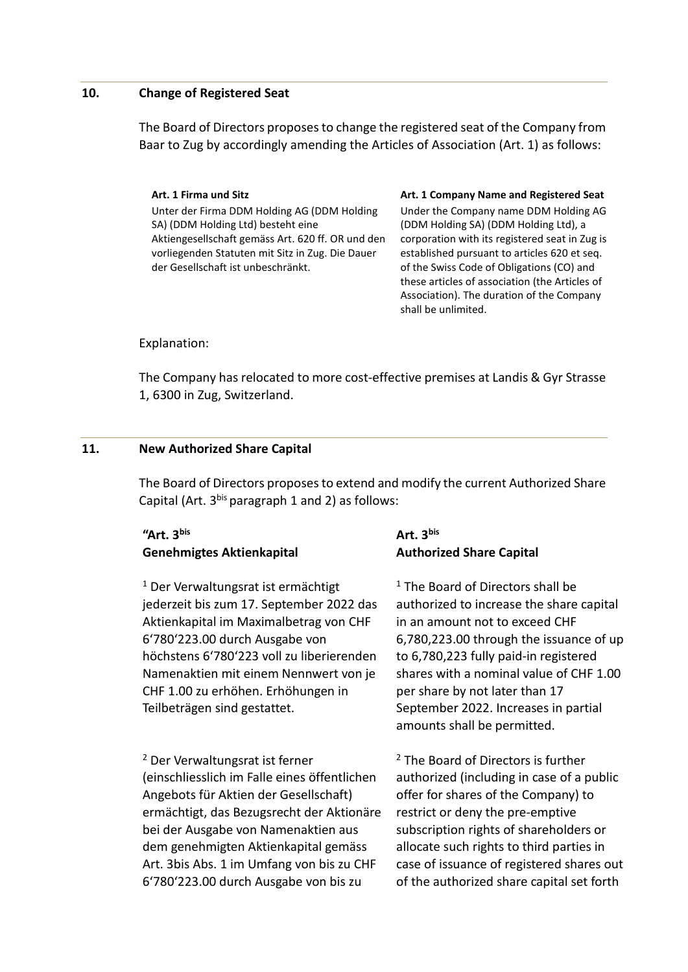#### **10. Change of Registered Seat**

The Board of Directors proposes to change the registered seat of the Company from Baar to Zug by accordingly amending the Articles of Association (Art. 1) as follows:

# Unter der Firma DDM Holding AG (DDM Holding SA) (DDM Holding Ltd) besteht eine Aktiengesellschaft gemäss Art. 620 ff. OR und den vorliegenden Statuten mit Sitz in Zug. Die Dauer der Gesellschaft ist unbeschränkt.

#### **Art. 1 Firma und Sitz Art. 1 Company Name and Registered Seat**

Under the Company name DDM Holding AG (DDM Holding SA) (DDM Holding Ltd), a corporation with its registered seat in Zug is established pursuant to articles 620 et seq. of the Swiss Code of Obligations (CO) and these articles of association (the Articles of Association). The duration of the Company shall be unlimited.

Explanation:

The Company has relocated to more cost-effective premises at Landis & Gyr Strasse 1, 6300 in Zug, Switzerland.

### **11. New Authorized Share Capital**

The Board of Directors proposes to extend and modify the current Authorized Share Capital (Art. 3<sup>bis</sup> paragraph 1 and 2) as follows:

# **"Art. 3bis Genehmigtes Aktienkapital**

<sup>1</sup> Der Verwaltungsrat ist ermächtigt jederzeit bis zum 17. September 2022 das Aktienkapital im Maximalbetrag von CHF 6'780'223.00 durch Ausgabe von höchstens 6'780'223 voll zu liberierenden Namenaktien mit einem Nennwert von je CHF 1.00 zu erhöhen. Erhöhungen in Teilbeträgen sind gestattet.

<sup>2</sup> Der Verwaltungsrat ist ferner (einschliesslich im Falle eines öffentlichen Angebots für Aktien der Gesellschaft) ermächtigt, das Bezugsrecht der Aktionäre bei der Ausgabe von Namenaktien aus dem genehmigten Aktienkapital gemäss Art. 3bis Abs. 1 im Umfang von bis zu CHF 6'780'223.00 durch Ausgabe von bis zu

# **Art. 3bis Authorized Share Capital**

 $1$  The Board of Directors shall be authorized to increase the share capital in an amount not to exceed CHF 6,780,223.00 through the issuance of up to 6,780,223 fully paid-in registered shares with a nominal value of CHF 1.00 per share by not later than 17 September 2022. Increases in partial amounts shall be permitted.

<sup>2</sup> The Board of Directors is further authorized (including in case of a public offer for shares of the Company) to restrict or deny the pre-emptive subscription rights of shareholders or allocate such rights to third parties in case of issuance of registered shares out of the authorized share capital set forth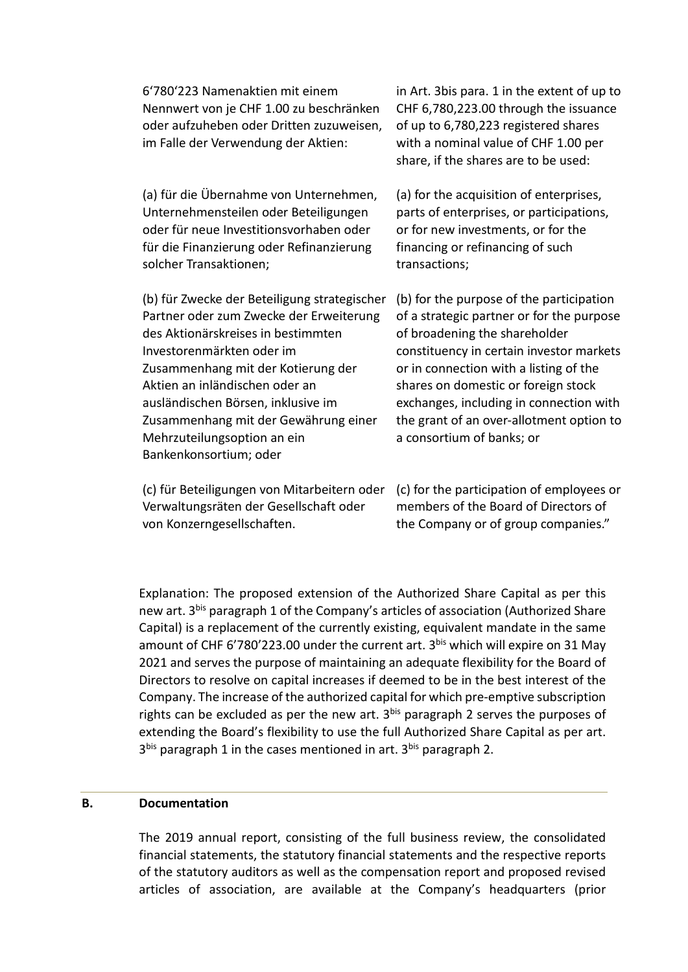| 6'780'223 Namenaktien mit einem<br>Nennwert von je CHF 1.00 zu beschränken<br>oder aufzuheben oder Dritten zuzuweisen,<br>im Falle der Verwendung der Aktien:                                                                                                                                                                                                             | in Art. 3bis para. 1 in the extent of up to<br>CHF 6,780,223.00 through the issuance<br>of up to 6,780,223 registered shares<br>with a nominal value of CHF 1.00 per<br>share, if the shares are to be used:                                                                                                                                                            |
|---------------------------------------------------------------------------------------------------------------------------------------------------------------------------------------------------------------------------------------------------------------------------------------------------------------------------------------------------------------------------|-------------------------------------------------------------------------------------------------------------------------------------------------------------------------------------------------------------------------------------------------------------------------------------------------------------------------------------------------------------------------|
| (a) für die Übernahme von Unternehmen,<br>Unternehmensteilen oder Beteiligungen<br>oder für neue Investitionsvorhaben oder<br>für die Finanzierung oder Refinanzierung<br>solcher Transaktionen;                                                                                                                                                                          | (a) for the acquisition of enterprises,<br>parts of enterprises, or participations,<br>or for new investments, or for the<br>financing or refinancing of such<br>transactions;                                                                                                                                                                                          |
| (b) für Zwecke der Beteiligung strategischer<br>Partner oder zum Zwecke der Erweiterung<br>des Aktionärskreises in bestimmten<br>Investorenmärkten oder im<br>Zusammenhang mit der Kotierung der<br>Aktien an inländischen oder an<br>ausländischen Börsen, inklusive im<br>Zusammenhang mit der Gewährung einer<br>Mehrzuteilungsoption an ein<br>Bankenkonsortium; oder | (b) for the purpose of the participation<br>of a strategic partner or for the purpose<br>of broadening the shareholder<br>constituency in certain investor markets<br>or in connection with a listing of the<br>shares on domestic or foreign stock<br>exchanges, including in connection with<br>the grant of an over-allotment option to<br>a consortium of banks; or |
| 7. V CH ( monoth) – operations wanted between the bill 7. V Country of anti-treaty of Country of                                                                                                                                                                                                                                                                          |                                                                                                                                                                                                                                                                                                                                                                         |

Verwaltungsräten der Gesellschaft oder von Konzerngesellschaften.

(c) für Beteiligungen von Mitarbeitern oder (c) for the participation of employees or members of the Board of Directors of the Company or of group companies."

Explanation: The proposed extension of the Authorized Share Capital as per this new art. 3<sup>bis</sup> paragraph 1 of the Company's articles of association (Authorized Share Capital) is a replacement of the currently existing, equivalent mandate in the same amount of CHF 6'780'223.00 under the current art. 3bis which will expire on 31 May 2021 and serves the purpose of maintaining an adequate flexibility for the Board of Directors to resolve on capital increases if deemed to be in the best interest of the Company. The increase of the authorized capital for which pre-emptive subscription rights can be excluded as per the new art.  $3^{bis}$  paragraph 2 serves the purposes of extending the Board's flexibility to use the full Authorized Share Capital as per art. 3<sup>bis</sup> paragraph 1 in the cases mentioned in art. 3<sup>bis</sup> paragraph 2.

#### **B. Documentation**

The 2019 annual report, consisting of the full business review, the consolidated financial statements, the statutory financial statements and the respective reports of the statutory auditors as well as the compensation report and proposed revised articles of association, are available at the Company's headquarters (prior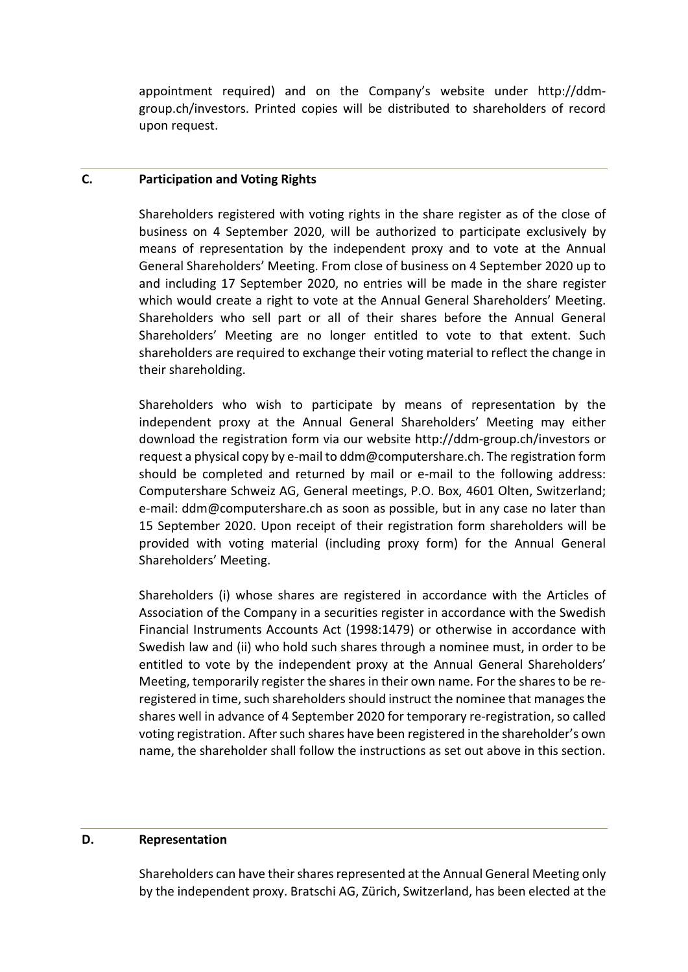appointment required) and on the Company's website under http://ddmgroup.ch/investors. Printed copies will be distributed to shareholders of record upon request.

#### **C. Participation and Voting Rights**

Shareholders registered with voting rights in the share register as of the close of business on 4 September 2020, will be authorized to participate exclusively by means of representation by the independent proxy and to vote at the Annual General Shareholders' Meeting. From close of business on 4 September 2020 up to and including 17 September 2020, no entries will be made in the share register which would create a right to vote at the Annual General Shareholders' Meeting. Shareholders who sell part or all of their shares before the Annual General Shareholders' Meeting are no longer entitled to vote to that extent. Such shareholders are required to exchange their voting material to reflect the change in their shareholding.

Shareholders who wish to participate by means of representation by the independent proxy at the Annual General Shareholders' Meeting may either download the registration form via our website http://ddm-group.ch/investors or request a physical copy by e-mail to ddm@computershare.ch. The registration form should be completed and returned by mail or e-mail to the following address: Computershare Schweiz AG, General meetings, P.O. Box, 4601 Olten, Switzerland; e-mail: ddm@computershare.ch as soon as possible, but in any case no later than 15 September 2020. Upon receipt of their registration form shareholders will be provided with voting material (including proxy form) for the Annual General Shareholders' Meeting.

Shareholders (i) whose shares are registered in accordance with the Articles of Association of the Company in a securities register in accordance with the Swedish Financial Instruments Accounts Act (1998:1479) or otherwise in accordance with Swedish law and (ii) who hold such shares through a nominee must, in order to be entitled to vote by the independent proxy at the Annual General Shareholders' Meeting, temporarily register the shares in their own name. For the shares to be reregistered in time, such shareholders should instruct the nominee that manages the shares well in advance of 4 September 2020 for temporary re-registration, so called voting registration. After such shares have been registered in the shareholder's own name, the shareholder shall follow the instructions as set out above in this section.

#### **D. Representation**

Shareholders can have their shares represented at the Annual General Meeting only by the independent proxy. Bratschi AG, Zürich, Switzerland, has been elected at the